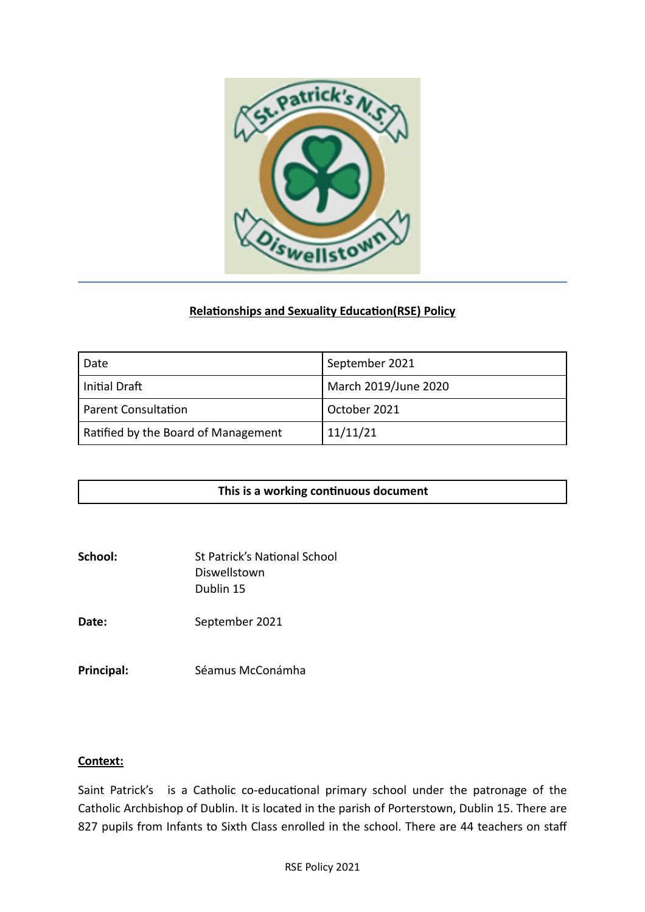

# **Relationships and Sexuality Education(RSE) Policy**

| Date                                | September 2021       |
|-------------------------------------|----------------------|
| Initial Draft                       | March 2019/June 2020 |
| <b>Parent Consultation</b>          | October 2021         |
| Ratified by the Board of Management | 11/11/21             |

|--|

| School: | <b>St Patrick's National School</b> |
|---------|-------------------------------------|
|         | Diswellstown                        |
|         | Dublin 15                           |

Date: September 2021

**Principal:** Séamus McConámha

### **Context:**

Saint Patrick's is a Catholic co-educational primary school under the patronage of the Catholic Archbishop of Dublin. It is located in the parish of Porterstown, Dublin 15. There are 827 pupils from Infants to Sixth Class enrolled in the school. There are 44 teachers on staff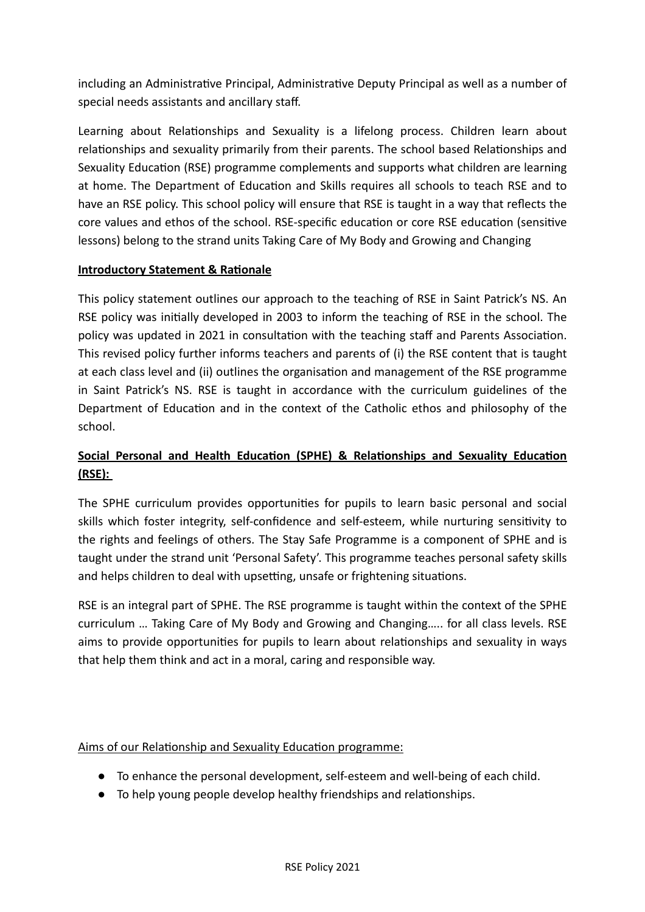including an Administrative Principal, Administrative Deputy Principal as well as a number of special needs assistants and ancillary staff.

Learning about Relationships and Sexuality is a lifelong process. Children learn about relationships and sexuality primarily from their parents. The school based Relationships and Sexuality Education (RSE) programme complements and supports what children are learning at home. The Department of Education and Skills requires all schools to teach RSE and to have an RSE policy. This school policy will ensure that RSE is taught in a way that reflects the core values and ethos of the school. RSE-specific education or core RSE education (sensitive lessons) belong to the strand units Taking Care of My Body and Growing and Changing

# **Introductory Statement & Rationale**

This policy statement outlines our approach to the teaching of RSE in Saint Patrick's NS. An RSE policy was initially developed in 2003 to inform the teaching of RSE in the school. The policy was updated in 2021 in consultation with the teaching staff and Parents Association. This revised policy further informs teachers and parents of (i) the RSE content that is taught at each class level and (ii) outlines the organisation and management of the RSE programme in Saint Patrick's NS. RSE is taught in accordance with the curriculum guidelines of the Department of Education and in the context of the Catholic ethos and philosophy of the school.

# **Social Personal and Health Education (SPHE) & Relationships and Sexuality Education (RSE):**

The SPHE curriculum provides opportunities for pupils to learn basic personal and social skills which foster integrity, self-confidence and self-esteem, while nurturing sensitivity to the rights and feelings of others. The Stay Safe Programme is a component of SPHE and is taught under the strand unit 'Personal Safety'. This programme teaches personal safety skills and helps children to deal with upsetting, unsafe or frightening situations.

RSE is an integral part of SPHE. The RSE programme is taught within the context of the SPHE curriculum … Taking Care of My Body and Growing and Changing….. for all class levels. RSE aims to provide opportunities for pupils to learn about relationships and sexuality in ways that help them think and act in a moral, caring and responsible way.

# Aims of our Relationship and Sexuality Education programme:

- To enhance the personal development, self-esteem and well-being of each child.
- To help young people develop healthy friendships and relationships.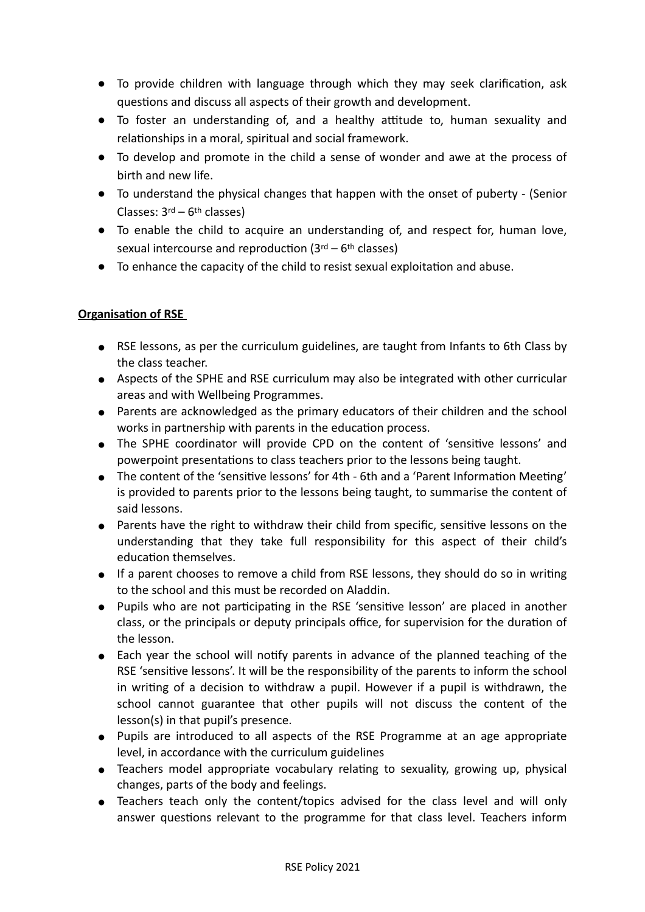- To provide children with language through which they may seek clarification, ask questions and discuss all aspects of their growth and development.
- To foster an understanding of, and a healthy attitude to, human sexuality and relationships in a moral, spiritual and social framework.
- To develop and promote in the child a sense of wonder and awe at the process of birth and new life.
- To understand the physical changes that happen with the onset of puberty (Senior Classes: 3rd – 6th classes)
- To enable the child to acquire an understanding of, and respect for, human love, sexual intercourse and reproduction  $(3<sup>rd</sup> - 6<sup>th</sup>$  classes)
- To enhance the capacity of the child to resist sexual exploitation and abuse.

# **Organisation of RSE**

- RSE lessons, as per the curriculum guidelines, are taught from Infants to 6th Class by the class teacher.
- Aspects of the SPHE and RSE curriculum may also be integrated with other curricular areas and with Wellbeing Programmes.
- Parents are acknowledged as the primary educators of their children and the school works in partnership with parents in the education process.
- The SPHE coordinator will provide CPD on the content of 'sensitive lessons' and powerpoint presentations to class teachers prior to the lessons being taught.
- The content of the 'sensitive lessons' for 4th 6th and a 'Parent Information Meeting' is provided to parents prior to the lessons being taught, to summarise the content of said lessons.
- Parents have the right to withdraw their child from specific, sensitive lessons on the understanding that they take full responsibility for this aspect of their child's education themselves.
- If a parent chooses to remove a child from RSE lessons, they should do so in writing to the school and this must be recorded on Aladdin.
- Pupils who are not participating in the RSE 'sensitive lesson' are placed in another class, or the principals or deputy principals office, for supervision for the duration of the lesson.
- Each year the school will notify parents in advance of the planned teaching of the RSE 'sensitive lessons'. It will be the responsibility of the parents to inform the school in writing of a decision to withdraw a pupil. However if a pupil is withdrawn, the school cannot guarantee that other pupils will not discuss the content of the lesson(s) in that pupil's presence.
- Pupils are introduced to all aspects of the RSE Programme at an age appropriate level, in accordance with the curriculum guidelines
- Teachers model appropriate vocabulary relating to sexuality, growing up, physical changes, parts of the body and feelings.
- Teachers teach only the content/topics advised for the class level and will only answer questions relevant to the programme for that class level. Teachers inform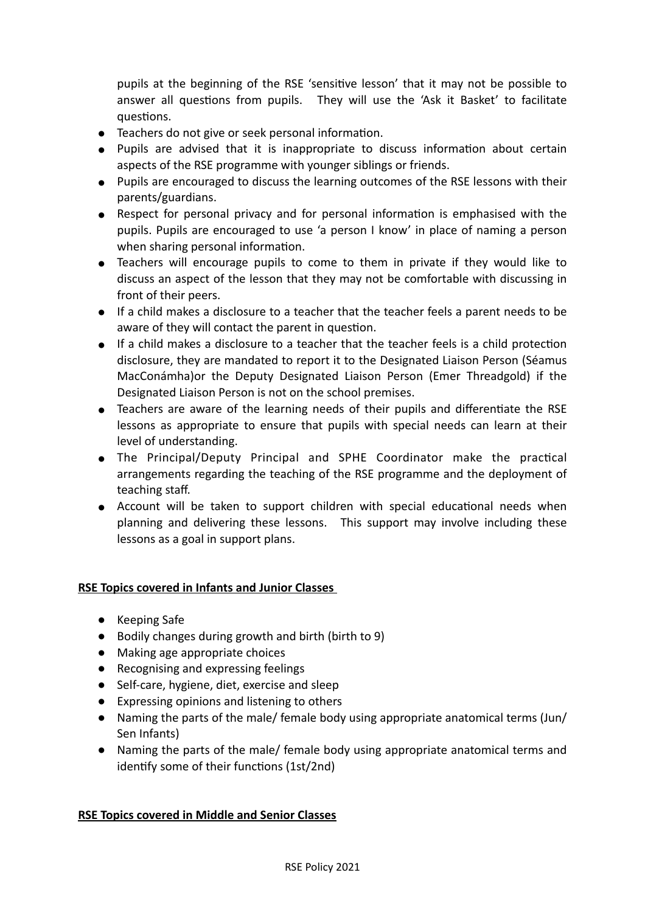pupils at the beginning of the RSE 'sensitive lesson' that it may not be possible to answer all questions from pupils. They will use the 'Ask it Basket' to facilitate questions.

- Teachers do not give or seek personal information.
- Pupils are advised that it is inappropriate to discuss information about certain aspects of the RSE programme with younger siblings or friends.
- Pupils are encouraged to discuss the learning outcomes of the RSE lessons with their parents/guardians.
- Respect for personal privacy and for personal information is emphasised with the pupils. Pupils are encouraged to use 'a person I know' in place of naming a person when sharing personal information.
- Teachers will encourage pupils to come to them in private if they would like to discuss an aspect of the lesson that they may not be comfortable with discussing in front of their peers.
- If a child makes a disclosure to a teacher that the teacher feels a parent needs to be aware of they will contact the parent in question.
- If a child makes a disclosure to a teacher that the teacher feels is a child protection disclosure, they are mandated to report it to the Designated Liaison Person (Séamus MacConámha)or the Deputy Designated Liaison Person (Emer Threadgold) if the Designated Liaison Person is not on the school premises.
- Teachers are aware of the learning needs of their pupils and differentiate the RSE lessons as appropriate to ensure that pupils with special needs can learn at their level of understanding.
- The Principal/Deputy Principal and SPHE Coordinator make the practical arrangements regarding the teaching of the RSE programme and the deployment of teaching staff.
- Account will be taken to support children with special educational needs when planning and delivering these lessons. This support may involve including these lessons as a goal in support plans.

### **RSE Topics covered in Infants and Junior Classes**

- Keeping Safe
- Bodily changes during growth and birth (birth to 9)
- Making age appropriate choices
- Recognising and expressing feelings
- Self-care, hygiene, diet, exercise and sleep
- Expressing opinions and listening to others
- Naming the parts of the male/ female body using appropriate anatomical terms (Jun/ Sen Infants)
- Naming the parts of the male/ female body using appropriate anatomical terms and identify some of their functions (1st/2nd)

### **RSE Topics covered in Middle and Senior Classes**